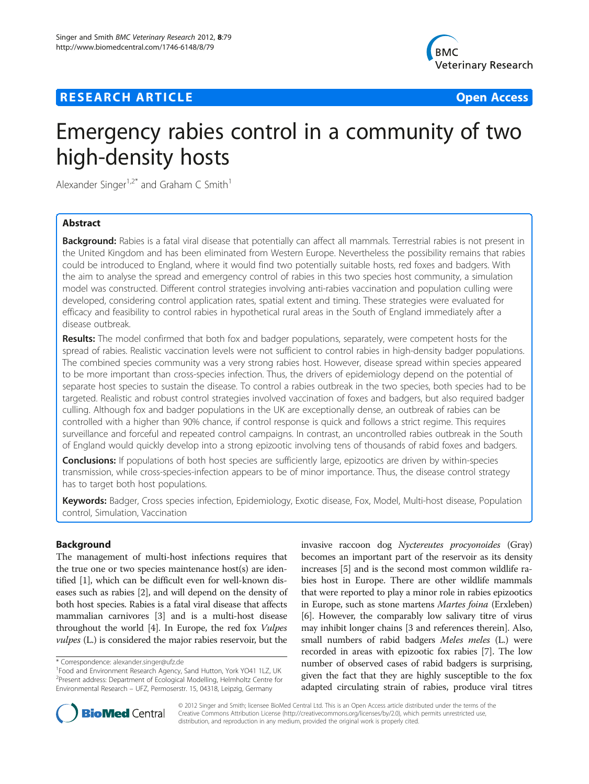# **RESEARCH ARTICLE Example 2014 12:30 The Contract of Contract Contract Contract Contract Contract Contract Contract Contract Contract Contract Contract Contract Contract Contract Contract Contract Contract Contract Contr**



# Emergency rabies control in a community of two high-density hosts

Alexander Singer<sup>1,2\*</sup> and Graham C Smith<sup>1</sup>

# Abstract

Background: Rabies is a fatal viral disease that potentially can affect all mammals. Terrestrial rabies is not present in the United Kingdom and has been eliminated from Western Europe. Nevertheless the possibility remains that rabies could be introduced to England, where it would find two potentially suitable hosts, red foxes and badgers. With the aim to analyse the spread and emergency control of rabies in this two species host community, a simulation model was constructed. Different control strategies involving anti-rabies vaccination and population culling were developed, considering control application rates, spatial extent and timing. These strategies were evaluated for efficacy and feasibility to control rabies in hypothetical rural areas in the South of England immediately after a disease outbreak.

Results: The model confirmed that both fox and badger populations, separately, were competent hosts for the spread of rabies. Realistic vaccination levels were not sufficient to control rabies in high-density badger populations. The combined species community was a very strong rabies host. However, disease spread within species appeared to be more important than cross-species infection. Thus, the drivers of epidemiology depend on the potential of separate host species to sustain the disease. To control a rabies outbreak in the two species, both species had to be targeted. Realistic and robust control strategies involved vaccination of foxes and badgers, but also required badger culling. Although fox and badger populations in the UK are exceptionally dense, an outbreak of rabies can be controlled with a higher than 90% chance, if control response is quick and follows a strict regime. This requires surveillance and forceful and repeated control campaigns. In contrast, an uncontrolled rabies outbreak in the South of England would quickly develop into a strong epizootic involving tens of thousands of rabid foxes and badgers.

**Conclusions:** If populations of both host species are sufficiently large, epizootics are driven by within-species transmission, while cross-species-infection appears to be of minor importance. Thus, the disease control strategy has to target both host populations.

Keywords: Badger, Cross species infection, Epidemiology, Exotic disease, Fox, Model, Multi-host disease, Population control, Simulation, Vaccination

## Background

The management of multi-host infections requires that the true one or two species maintenance host(s) are identified [\[1](#page-13-0)], which can be difficult even for well-known diseases such as rabies [\[2](#page-13-0)], and will depend on the density of both host species. Rabies is a fatal viral disease that affects mammalian carnivores [\[3](#page-13-0)] and is a multi-host disease throughout the world [\[4](#page-13-0)]. In Europe, the red fox Vulpes *vulpes* (L.) is considered the major rabies reservoir, but the

invasive raccoon dog Nyctereutes procyonoides (Gray) becomes an important part of the reservoir as its density increases [\[5](#page-13-0)] and is the second most common wildlife rabies host in Europe. There are other wildlife mammals that were reported to play a minor role in rabies epizootics in Europe, such as stone martens Martes foina (Erxleben) [[6\]](#page-13-0). However, the comparably low salivary titre of virus may inhibit longer chains [\[3](#page-13-0) and references therein]. Also, small numbers of rabid badgers Meles meles (L.) were recorded in areas with epizootic fox rabies [\[7\]](#page-13-0). The low number of observed cases of rabid badgers is surprising, given the fact that they are highly susceptible to the fox adapted circulating strain of rabies, produce viral titres



© 2012 Singer and Smith; licensee BioMed Central Ltd. This is an Open Access article distributed under the terms of the Creative Commons Attribution License (<http://creativecommons.org/licenses/by/2.0>), which permits unrestricted use, distribution, and reproduction in any medium, provided the original work is properly cited.

<sup>\*</sup> Correspondence: [alexander.singer@ufz.de](mailto:alexander.singer@ufz.de) <sup>1</sup>

Food and Environment Research Agency, Sand Hutton, York YO41 1LZ, UK 2 Present address: Department of Ecological Modelling, Helmholtz Centre for Environmental Research – UFZ, Permoserstr. 15, 04318, Leipzig, Germany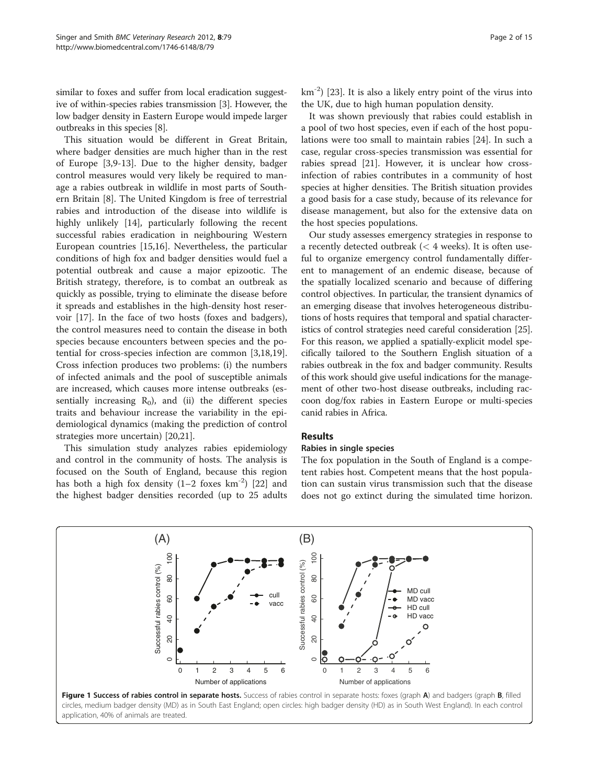<span id="page-1-0"></span>similar to foxes and suffer from local eradication suggestive of within-species rabies transmission [[3](#page-13-0)]. However, the low badger density in Eastern Europe would impede larger outbreaks in this species [[8](#page-13-0)].

This situation would be different in Great Britain, where badger densities are much higher than in the rest of Europe [\[3,9](#page-13-0)-[13](#page-13-0)]. Due to the higher density, badger control measures would very likely be required to manage a rabies outbreak in wildlife in most parts of Southern Britain [\[8](#page-13-0)]. The United Kingdom is free of terrestrial rabies and introduction of the disease into wildlife is highly unlikely [[14\]](#page-13-0), particularly following the recent successful rabies eradication in neighbouring Western European countries [[15,16\]](#page-13-0). Nevertheless, the particular conditions of high fox and badger densities would fuel a potential outbreak and cause a major epizootic. The British strategy, therefore, is to combat an outbreak as quickly as possible, trying to eliminate the disease before it spreads and establishes in the high-density host reservoir [[17\]](#page-13-0). In the face of two hosts (foxes and badgers), the control measures need to contain the disease in both species because encounters between species and the potential for cross-species infection are common [\[3,18,19](#page-13-0)]. Cross infection produces two problems: (i) the numbers of infected animals and the pool of susceptible animals are increased, which causes more intense outbreaks (essentially increasing  $R_0$ ), and (ii) the different species traits and behaviour increase the variability in the epidemiological dynamics (making the prediction of control strategies more uncertain) [\[20,21\]](#page-13-0).

This simulation study analyzes rabies epidemiology and control in the community of hosts. The analysis is focused on the South of England, because this region has both a high fox density  $(1-2$  foxes km<sup>-2</sup>) [\[22\]](#page-13-0) and the highest badger densities recorded (up to 25 adults  $km^{-2}$ ) [[23\]](#page-13-0). It is also a likely entry point of the virus into the UK, due to high human population density.

It was shown previously that rabies could establish in a pool of two host species, even if each of the host populations were too small to maintain rabies [\[24](#page-13-0)]. In such a case, regular cross-species transmission was essential for rabies spread [\[21](#page-13-0)]. However, it is unclear how crossinfection of rabies contributes in a community of host species at higher densities. The British situation provides a good basis for a case study, because of its relevance for disease management, but also for the extensive data on the host species populations.

Our study assesses emergency strategies in response to a recently detected outbreak  $(< 4$  weeks). It is often useful to organize emergency control fundamentally different to management of an endemic disease, because of the spatially localized scenario and because of differing control objectives. In particular, the transient dynamics of an emerging disease that involves heterogeneous distributions of hosts requires that temporal and spatial characteristics of control strategies need careful consideration [[25](#page-13-0)]. For this reason, we applied a spatially-explicit model specifically tailored to the Southern English situation of a rabies outbreak in the fox and badger community. Results of this work should give useful indications for the management of other two-host disease outbreaks, including raccoon dog/fox rabies in Eastern Europe or multi-species canid rabies in Africa.

## Results

#### Rabies in single species

The fox population in the South of England is a competent rabies host. Competent means that the host population can sustain virus transmission such that the disease does not go extinct during the simulated time horizon.

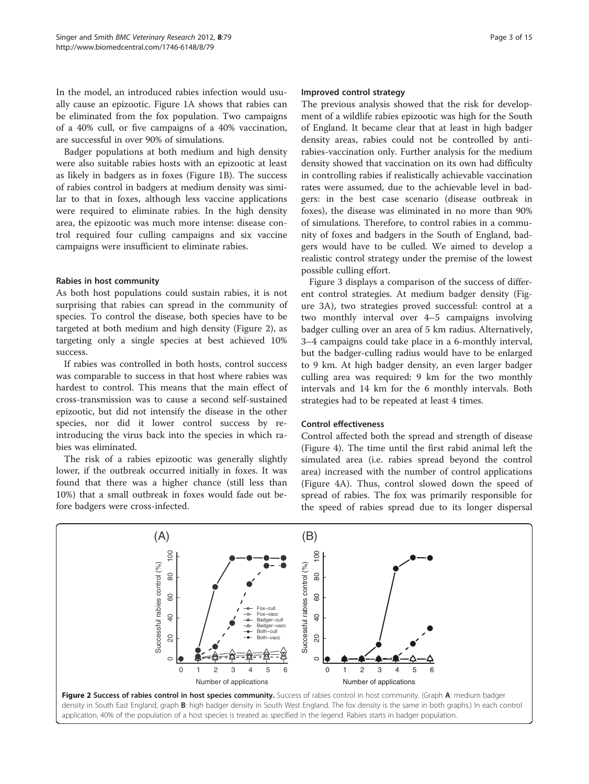In the model, an introduced rabies infection would usually cause an epizootic. Figure [1A](#page-1-0) shows that rabies can be eliminated from the fox population. Two campaigns of a 40% cull, or five campaigns of a 40% vaccination, are successful in over 90% of simulations.

Badger populations at both medium and high density were also suitable rabies hosts with an epizootic at least as likely in badgers as in foxes (Figure [1B\)](#page-1-0). The success of rabies control in badgers at medium density was similar to that in foxes, although less vaccine applications were required to eliminate rabies. In the high density area, the epizootic was much more intense: disease control required four culling campaigns and six vaccine campaigns were insufficient to eliminate rabies.

## Rabies in host community

As both host populations could sustain rabies, it is not surprising that rabies can spread in the community of species. To control the disease, both species have to be targeted at both medium and high density (Figure 2), as targeting only a single species at best achieved 10% success.

If rabies was controlled in both hosts, control success was comparable to success in that host where rabies was hardest to control. This means that the main effect of cross-transmission was to cause a second self-sustained epizootic, but did not intensify the disease in the other species, nor did it lower control success by reintroducing the virus back into the species in which rabies was eliminated.

The risk of a rabies epizootic was generally slightly lower, if the outbreak occurred initially in foxes. It was found that there was a higher chance (still less than 10%) that a small outbreak in foxes would fade out before badgers were cross-infected.

#### Improved control strategy

The previous analysis showed that the risk for development of a wildlife rabies epizootic was high for the South of England. It became clear that at least in high badger density areas, rabies could not be controlled by antirabies-vaccination only. Further analysis for the medium density showed that vaccination on its own had difficulty in controlling rabies if realistically achievable vaccination rates were assumed, due to the achievable level in badgers: in the best case scenario (disease outbreak in foxes), the disease was eliminated in no more than 90% of simulations. Therefore, to control rabies in a community of foxes and badgers in the South of England, badgers would have to be culled. We aimed to develop a realistic control strategy under the premise of the lowest possible culling effort.

Figure [3](#page-3-0) displays a comparison of the success of different control strategies. At medium badger density (Figure [3A\)](#page-3-0), two strategies proved successful: control at a two monthly interval over 4–5 campaigns involving badger culling over an area of 5 km radius. Alternatively, 3–4 campaigns could take place in a 6-monthly interval, but the badger-culling radius would have to be enlarged to 9 km. At high badger density, an even larger badger culling area was required: 9 km for the two monthly intervals and 14 km for the 6 monthly intervals. Both strategies had to be repeated at least 4 times.

## Control effectiveness

Control affected both the spread and strength of disease (Figure [4](#page-3-0)). The time until the first rabid animal left the simulated area (i.e. rabies spread beyond the control area) increased with the number of control applications (Figure [4A\)](#page-3-0). Thus, control slowed down the speed of spread of rabies. The fox was primarily responsible for the speed of rabies spread due to its longer dispersal

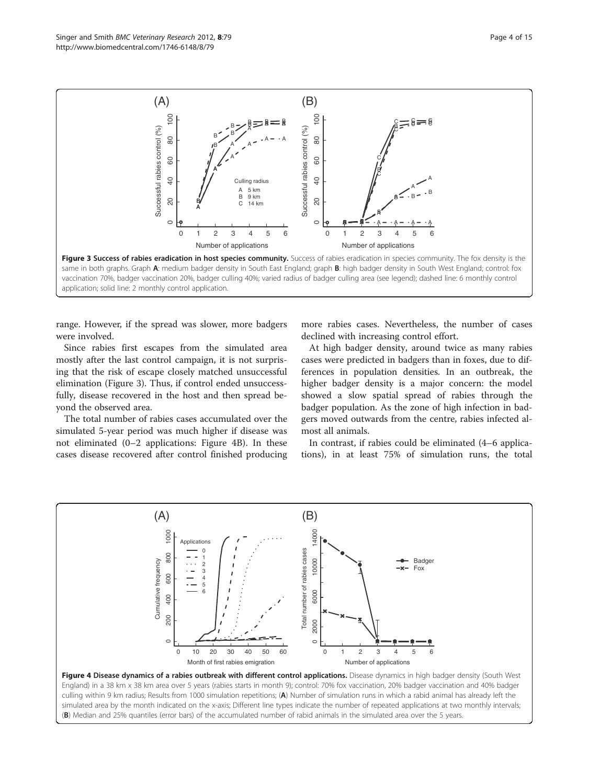range. However, if the spread was slower, more badgers were involved.

application; solid line: 2 monthly control application.

Since rabies first escapes from the simulated area mostly after the last control campaign, it is not surprising that the risk of escape closely matched unsuccessful elimination (Figure 3). Thus, if control ended unsuccessfully, disease recovered in the host and then spread beyond the observed area.

The total number of rabies cases accumulated over the simulated 5-year period was much higher if disease was not eliminated (0–2 applications: Figure 4B). In these cases disease recovered after control finished producing

more rabies cases. Nevertheless, the number of cases declined with increasing control effort.

At high badger density, around twice as many rabies cases were predicted in badgers than in foxes, due to differences in population densities. In an outbreak, the higher badger density is a major concern: the model showed a slow spatial spread of rabies through the badger population. As the zone of high infection in badgers moved outwards from the centre, rabies infected almost all animals.

In contrast, if rabies could be eliminated (4–6 applications), in at least 75% of simulation runs, the total



culling within 9 km radius; Results from 1000 simulation repetitions; (A) Number of simulation runs in which a rabid animal has already left the

simulated area by the month indicated on the x-axis; Different line types indicate the number of repeated applications at two monthly intervals; (B) Median and 25% quantiles (error bars) of the accumulated number of rabid animals in the simulated area over the 5 years.

<span id="page-3-0"></span>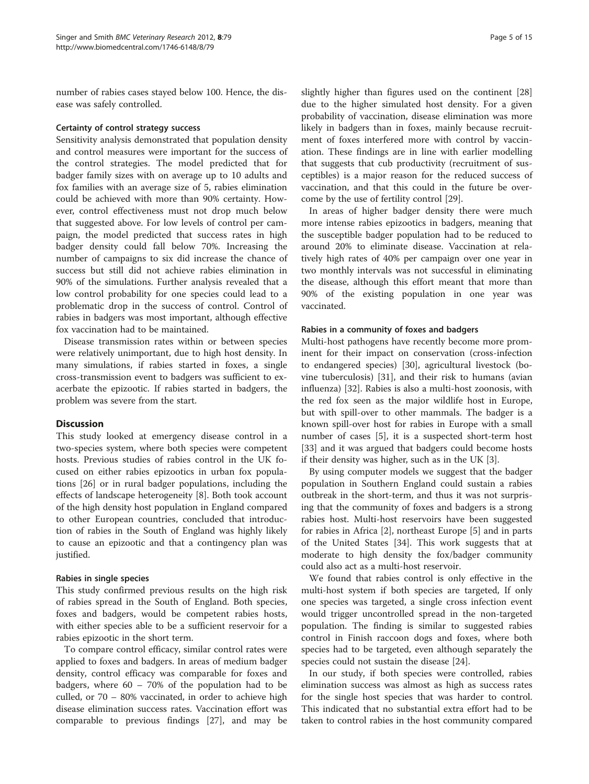number of rabies cases stayed below 100. Hence, the disease was safely controlled.

#### Certainty of control strategy success

Sensitivity analysis demonstrated that population density and control measures were important for the success of the control strategies. The model predicted that for badger family sizes with on average up to 10 adults and fox families with an average size of 5, rabies elimination could be achieved with more than 90% certainty. However, control effectiveness must not drop much below that suggested above. For low levels of control per campaign, the model predicted that success rates in high badger density could fall below 70%. Increasing the number of campaigns to six did increase the chance of success but still did not achieve rabies elimination in 90% of the simulations. Further analysis revealed that a low control probability for one species could lead to a problematic drop in the success of control. Control of rabies in badgers was most important, although effective fox vaccination had to be maintained.

Disease transmission rates within or between species were relatively unimportant, due to high host density. In many simulations, if rabies started in foxes, a single cross-transmission event to badgers was sufficient to exacerbate the epizootic. If rabies started in badgers, the problem was severe from the start.

## **Discussion**

This study looked at emergency disease control in a two-species system, where both species were competent hosts. Previous studies of rabies control in the UK focused on either rabies epizootics in urban fox populations [[26\]](#page-13-0) or in rural badger populations, including the effects of landscape heterogeneity [\[8](#page-13-0)]. Both took account of the high density host population in England compared to other European countries, concluded that introduction of rabies in the South of England was highly likely to cause an epizootic and that a contingency plan was justified.

#### Rabies in single species

This study confirmed previous results on the high risk of rabies spread in the South of England. Both species, foxes and badgers, would be competent rabies hosts, with either species able to be a sufficient reservoir for a rabies epizootic in the short term.

To compare control efficacy, similar control rates were applied to foxes and badgers. In areas of medium badger density, control efficacy was comparable for foxes and badgers, where  $60 - 70\%$  of the population had to be culled, or 70 – 80% vaccinated, in order to achieve high disease elimination success rates. Vaccination effort was comparable to previous findings [[27\]](#page-13-0), and may be

slightly higher than figures used on the continent [[28](#page-13-0)] due to the higher simulated host density. For a given probability of vaccination, disease elimination was more likely in badgers than in foxes, mainly because recruitment of foxes interfered more with control by vaccination. These findings are in line with earlier modelling that suggests that cub productivity (recruitment of susceptibles) is a major reason for the reduced success of vaccination, and that this could in the future be overcome by the use of fertility control [\[29](#page-13-0)].

In areas of higher badger density there were much more intense rabies epizootics in badgers, meaning that the susceptible badger population had to be reduced to around 20% to eliminate disease. Vaccination at relatively high rates of 40% per campaign over one year in two monthly intervals was not successful in eliminating the disease, although this effort meant that more than 90% of the existing population in one year was vaccinated.

#### Rabies in a community of foxes and badgers

Multi-host pathogens have recently become more prominent for their impact on conservation (cross-infection to endangered species) [[30\]](#page-13-0), agricultural livestock (bovine tuberculosis) [\[31\]](#page-13-0), and their risk to humans (avian influenza) [\[32](#page-13-0)]. Rabies is also a multi-host zoonosis, with the red fox seen as the major wildlife host in Europe, but with spill-over to other mammals. The badger is a known spill-over host for rabies in Europe with a small number of cases [[5\]](#page-13-0), it is a suspected short-term host [[33\]](#page-13-0) and it was argued that badgers could become hosts if their density was higher, such as in the UK [[3\]](#page-13-0).

By using computer models we suggest that the badger population in Southern England could sustain a rabies outbreak in the short-term, and thus it was not surprising that the community of foxes and badgers is a strong rabies host. Multi-host reservoirs have been suggested for rabies in Africa [\[2](#page-13-0)], northeast Europe [\[5](#page-13-0)] and in parts of the United States [\[34](#page-13-0)]. This work suggests that at moderate to high density the fox/badger community could also act as a multi-host reservoir.

We found that rabies control is only effective in the multi-host system if both species are targeted, If only one species was targeted, a single cross infection event would trigger uncontrolled spread in the non-targeted population. The finding is similar to suggested rabies control in Finish raccoon dogs and foxes, where both species had to be targeted, even although separately the species could not sustain the disease [[24](#page-13-0)].

In our study, if both species were controlled, rabies elimination success was almost as high as success rates for the single host species that was harder to control. This indicated that no substantial extra effort had to be taken to control rabies in the host community compared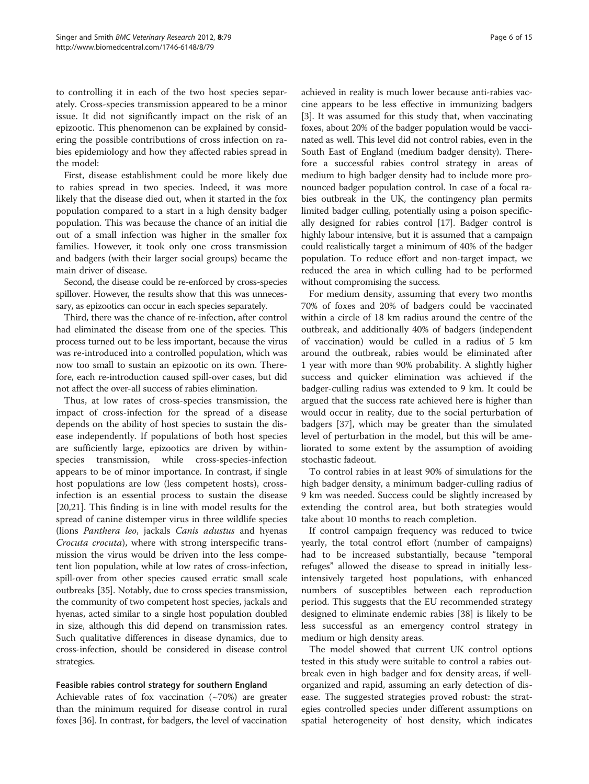to controlling it in each of the two host species separately. Cross-species transmission appeared to be a minor issue. It did not significantly impact on the risk of an epizootic. This phenomenon can be explained by considering the possible contributions of cross infection on rabies epidemiology and how they affected rabies spread in the model:

First, disease establishment could be more likely due to rabies spread in two species. Indeed, it was more likely that the disease died out, when it started in the fox population compared to a start in a high density badger population. This was because the chance of an initial die out of a small infection was higher in the smaller fox families. However, it took only one cross transmission and badgers (with their larger social groups) became the main driver of disease.

Second, the disease could be re-enforced by cross-species spillover. However, the results show that this was unnecessary, as epizootics can occur in each species separately.

Third, there was the chance of re-infection, after control had eliminated the disease from one of the species. This process turned out to be less important, because the virus was re-introduced into a controlled population, which was now too small to sustain an epizootic on its own. Therefore, each re-introduction caused spill-over cases, but did not affect the over-all success of rabies elimination.

Thus, at low rates of cross-species transmission, the impact of cross-infection for the spread of a disease depends on the ability of host species to sustain the disease independently. If populations of both host species are sufficiently large, epizootics are driven by withinspecies transmission, while cross-species-infection appears to be of minor importance. In contrast, if single host populations are low (less competent hosts), crossinfection is an essential process to sustain the disease [[20,21\]](#page-13-0). This finding is in line with model results for the spread of canine distemper virus in three wildlife species (lions Panthera leo, jackals Canis adustus and hyenas Crocuta crocuta), where with strong interspecific transmission the virus would be driven into the less competent lion population, while at low rates of cross-infection, spill-over from other species caused erratic small scale outbreaks [[35](#page-13-0)]. Notably, due to cross species transmission, the community of two competent host species, jackals and hyenas, acted similar to a single host population doubled in size, although this did depend on transmission rates. Such qualitative differences in disease dynamics, due to cross-infection, should be considered in disease control strategies.

## Feasible rabies control strategy for southern England

Achievable rates of fox vaccination  $(\sim 70\%)$  are greater than the minimum required for disease control in rural foxes [\[36\]](#page-13-0). In contrast, for badgers, the level of vaccination

achieved in reality is much lower because anti-rabies vaccine appears to be less effective in immunizing badgers [[3\]](#page-13-0). It was assumed for this study that, when vaccinating foxes, about 20% of the badger population would be vaccinated as well. This level did not control rabies, even in the South East of England (medium badger density). Therefore a successful rabies control strategy in areas of medium to high badger density had to include more pronounced badger population control. In case of a focal rabies outbreak in the UK, the contingency plan permits limited badger culling, potentially using a poison specifically designed for rabies control [[17](#page-13-0)]. Badger control is highly labour intensive, but it is assumed that a campaign could realistically target a minimum of 40% of the badger population. To reduce effort and non-target impact, we reduced the area in which culling had to be performed without compromising the success.

For medium density, assuming that every two months 70% of foxes and 20% of badgers could be vaccinated within a circle of 18 km radius around the centre of the outbreak, and additionally 40% of badgers (independent of vaccination) would be culled in a radius of 5 km around the outbreak, rabies would be eliminated after 1 year with more than 90% probability. A slightly higher success and quicker elimination was achieved if the badger-culling radius was extended to 9 km. It could be argued that the success rate achieved here is higher than would occur in reality, due to the social perturbation of badgers [\[37](#page-13-0)], which may be greater than the simulated level of perturbation in the model, but this will be ameliorated to some extent by the assumption of avoiding stochastic fadeout.

To control rabies in at least 90% of simulations for the high badger density, a minimum badger-culling radius of 9 km was needed. Success could be slightly increased by extending the control area, but both strategies would take about 10 months to reach completion.

If control campaign frequency was reduced to twice yearly, the total control effort (number of campaigns) had to be increased substantially, because "temporal refuges" allowed the disease to spread in initially lessintensively targeted host populations, with enhanced numbers of susceptibles between each reproduction period. This suggests that the EU recommended strategy designed to eliminate endemic rabies [[38\]](#page-13-0) is likely to be less successful as an emergency control strategy in medium or high density areas.

The model showed that current UK control options tested in this study were suitable to control a rabies outbreak even in high badger and fox density areas, if wellorganized and rapid, assuming an early detection of disease. The suggested strategies proved robust: the strategies controlled species under different assumptions on spatial heterogeneity of host density, which indicates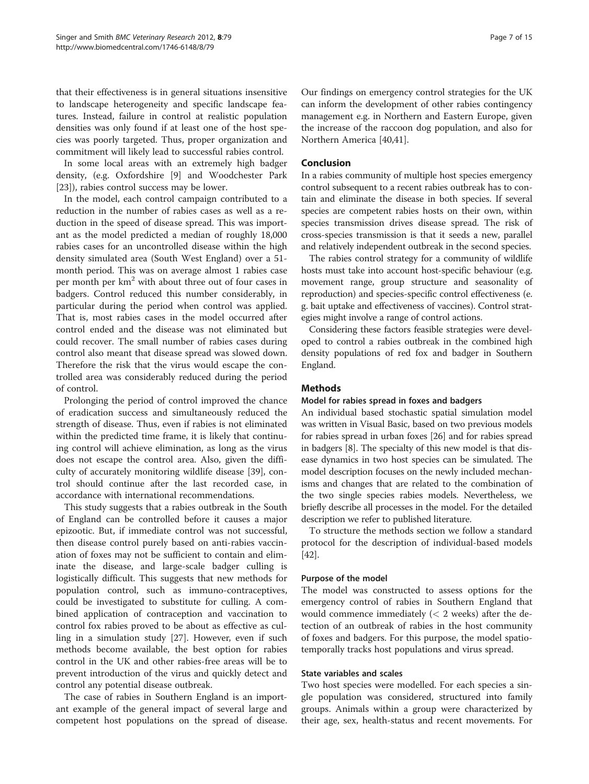that their effectiveness is in general situations insensitive to landscape heterogeneity and specific landscape features. Instead, failure in control at realistic population densities was only found if at least one of the host species was poorly targeted. Thus, proper organization and commitment will likely lead to successful rabies control.

In some local areas with an extremely high badger density, (e.g. Oxfordshire [[9](#page-13-0)] and Woodchester Park [[23\]](#page-13-0)), rabies control success may be lower.

In the model, each control campaign contributed to a reduction in the number of rabies cases as well as a reduction in the speed of disease spread. This was important as the model predicted a median of roughly 18,000 rabies cases for an uncontrolled disease within the high density simulated area (South West England) over a 51 month period. This was on average almost 1 rabies case per month per  $km<sup>2</sup>$  with about three out of four cases in badgers. Control reduced this number considerably, in particular during the period when control was applied. That is, most rabies cases in the model occurred after control ended and the disease was not eliminated but could recover. The small number of rabies cases during control also meant that disease spread was slowed down. Therefore the risk that the virus would escape the controlled area was considerably reduced during the period of control.

Prolonging the period of control improved the chance of eradication success and simultaneously reduced the strength of disease. Thus, even if rabies is not eliminated within the predicted time frame, it is likely that continuing control will achieve elimination, as long as the virus does not escape the control area. Also, given the difficulty of accurately monitoring wildlife disease [\[39](#page-13-0)], control should continue after the last recorded case, in accordance with international recommendations.

This study suggests that a rabies outbreak in the South of England can be controlled before it causes a major epizootic. But, if immediate control was not successful, then disease control purely based on anti-rabies vaccination of foxes may not be sufficient to contain and eliminate the disease, and large-scale badger culling is logistically difficult. This suggests that new methods for population control, such as immuno-contraceptives, could be investigated to substitute for culling. A combined application of contraception and vaccination to control fox rabies proved to be about as effective as culling in a simulation study [[27\]](#page-13-0). However, even if such methods become available, the best option for rabies control in the UK and other rabies-free areas will be to prevent introduction of the virus and quickly detect and control any potential disease outbreak.

The case of rabies in Southern England is an important example of the general impact of several large and competent host populations on the spread of disease.

Our findings on emergency control strategies for the UK can inform the development of other rabies contingency management e.g. in Northern and Eastern Europe, given the increase of the raccoon dog population, and also for Northern America [[40](#page-13-0),[41](#page-13-0)].

## Conclusion

In a rabies community of multiple host species emergency control subsequent to a recent rabies outbreak has to contain and eliminate the disease in both species. If several species are competent rabies hosts on their own, within species transmission drives disease spread. The risk of cross-species transmission is that it seeds a new, parallel and relatively independent outbreak in the second species.

The rabies control strategy for a community of wildlife hosts must take into account host-specific behaviour (e.g. movement range, group structure and seasonality of reproduction) and species-specific control effectiveness (e. g. bait uptake and effectiveness of vaccines). Control strategies might involve a range of control actions.

Considering these factors feasible strategies were developed to control a rabies outbreak in the combined high density populations of red fox and badger in Southern England.

## Methods

## Model for rabies spread in foxes and badgers

An individual based stochastic spatial simulation model was written in Visual Basic, based on two previous models for rabies spread in urban foxes [\[26\]](#page-13-0) and for rabies spread in badgers [\[8\]](#page-13-0). The specialty of this new model is that disease dynamics in two host species can be simulated. The model description focuses on the newly included mechanisms and changes that are related to the combination of the two single species rabies models. Nevertheless, we briefly describe all processes in the model. For the detailed description we refer to published literature.

To structure the methods section we follow a standard protocol for the description of individual-based models [[42\]](#page-13-0).

## Purpose of the model

The model was constructed to assess options for the emergency control of rabies in Southern England that would commence immediately  $(< 2$  weeks) after the detection of an outbreak of rabies in the host community of foxes and badgers. For this purpose, the model spatiotemporally tracks host populations and virus spread.

## State variables and scales

Two host species were modelled. For each species a single population was considered, structured into family groups. Animals within a group were characterized by their age, sex, health-status and recent movements. For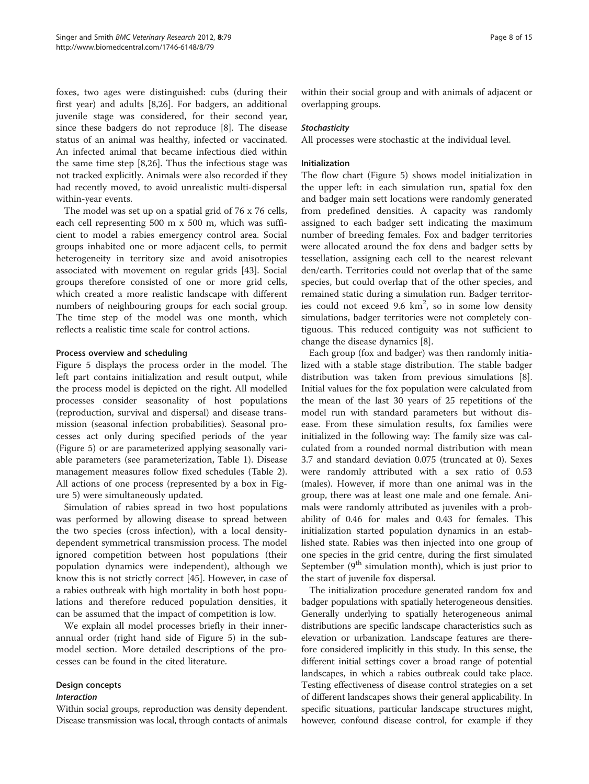foxes, two ages were distinguished: cubs (during their first year) and adults [[8,26\]](#page-13-0). For badgers, an additional juvenile stage was considered, for their second year, since these badgers do not reproduce [\[8](#page-13-0)]. The disease status of an animal was healthy, infected or vaccinated. An infected animal that became infectious died within the same time step [\[8,26](#page-13-0)]. Thus the infectious stage was not tracked explicitly. Animals were also recorded if they had recently moved, to avoid unrealistic multi-dispersal within-year events.

The model was set up on a spatial grid of 76 x 76 cells, each cell representing 500 m x 500 m, which was sufficient to model a rabies emergency control area. Social groups inhabited one or more adjacent cells, to permit heterogeneity in territory size and avoid anisotropies associated with movement on regular grids [\[43\]](#page-13-0). Social groups therefore consisted of one or more grid cells, which created a more realistic landscape with different numbers of neighbouring groups for each social group. The time step of the model was one month, which reflects a realistic time scale for control actions.

## Process overview and scheduling

Figure [5](#page-8-0) displays the process order in the model. The left part contains initialization and result output, while the process model is depicted on the right. All modelled processes consider seasonality of host populations (reproduction, survival and dispersal) and disease transmission (seasonal infection probabilities). Seasonal processes act only during specified periods of the year (Figure [5\)](#page-8-0) or are parameterized applying seasonally variable parameters (see parameterization, Table [1\)](#page-9-0). Disease management measures follow fixed schedules (Table [2](#page-11-0)). All actions of one process (represented by a box in Figure [5\)](#page-8-0) were simultaneously updated.

Simulation of rabies spread in two host populations was performed by allowing disease to spread between the two species (cross infection), with a local densitydependent symmetrical transmission process. The model ignored competition between host populations (their population dynamics were independent), although we know this is not strictly correct [\[45\]](#page-13-0). However, in case of a rabies outbreak with high mortality in both host populations and therefore reduced population densities, it can be assumed that the impact of competition is low.

We explain all model processes briefly in their innerannual order (right hand side of Figure [5](#page-8-0)) in the submodel section. More detailed descriptions of the processes can be found in the cited literature.

# Design concepts

## Interaction

Within social groups, reproduction was density dependent. Disease transmission was local, through contacts of animals within their social group and with animals of adjacent or overlapping groups.

## **Stochasticity**

All processes were stochastic at the individual level.

## Initialization

The flow chart (Figure [5\)](#page-8-0) shows model initialization in the upper left: in each simulation run, spatial fox den and badger main sett locations were randomly generated from predefined densities. A capacity was randomly assigned to each badger sett indicating the maximum number of breeding females. Fox and badger territories were allocated around the fox dens and badger setts by tessellation, assigning each cell to the nearest relevant den/earth. Territories could not overlap that of the same species, but could overlap that of the other species, and remained static during a simulation run. Badger territories could not exceed 9.6 km<sup>2</sup>, so in some low density simulations, badger territories were not completely contiguous. This reduced contiguity was not sufficient to change the disease dynamics [\[8](#page-13-0)].

Each group (fox and badger) was then randomly initialized with a stable stage distribution. The stable badger distribution was taken from previous simulations [\[8](#page-13-0)]. Initial values for the fox population were calculated from the mean of the last 30 years of 25 repetitions of the model run with standard parameters but without disease. From these simulation results, fox families were initialized in the following way: The family size was calculated from a rounded normal distribution with mean 3.7 and standard deviation 0.075 (truncated at 0). Sexes were randomly attributed with a sex ratio of 0.53 (males). However, if more than one animal was in the group, there was at least one male and one female. Animals were randomly attributed as juveniles with a probability of 0.46 for males and 0.43 for females. This initialization started population dynamics in an established state. Rabies was then injected into one group of one species in the grid centre, during the first simulated September ( $9<sup>th</sup>$  simulation month), which is just prior to the start of juvenile fox dispersal.

The initialization procedure generated random fox and badger populations with spatially heterogeneous densities. Generally underlying to spatially heterogeneous animal distributions are specific landscape characteristics such as elevation or urbanization. Landscape features are therefore considered implicitly in this study. In this sense, the different initial settings cover a broad range of potential landscapes, in which a rabies outbreak could take place. Testing effectiveness of disease control strategies on a set of different landscapes shows their general applicability. In specific situations, particular landscape structures might, however, confound disease control, for example if they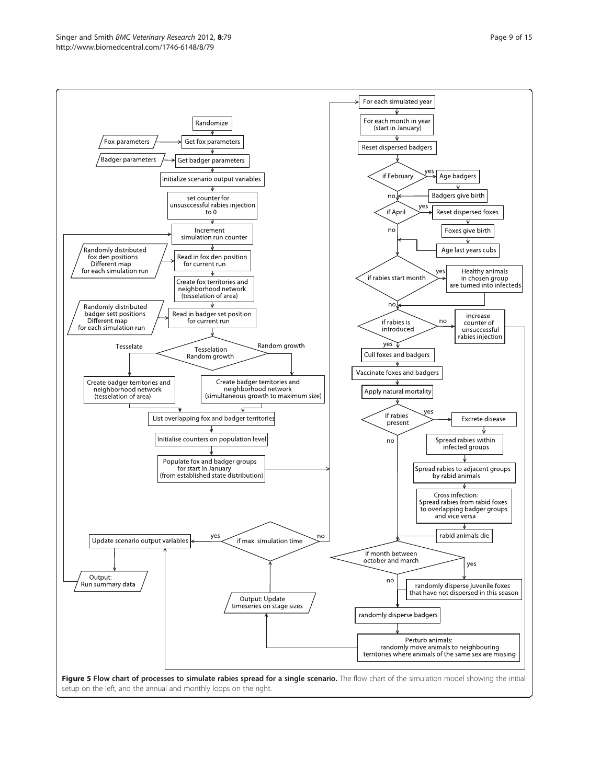<span id="page-8-0"></span>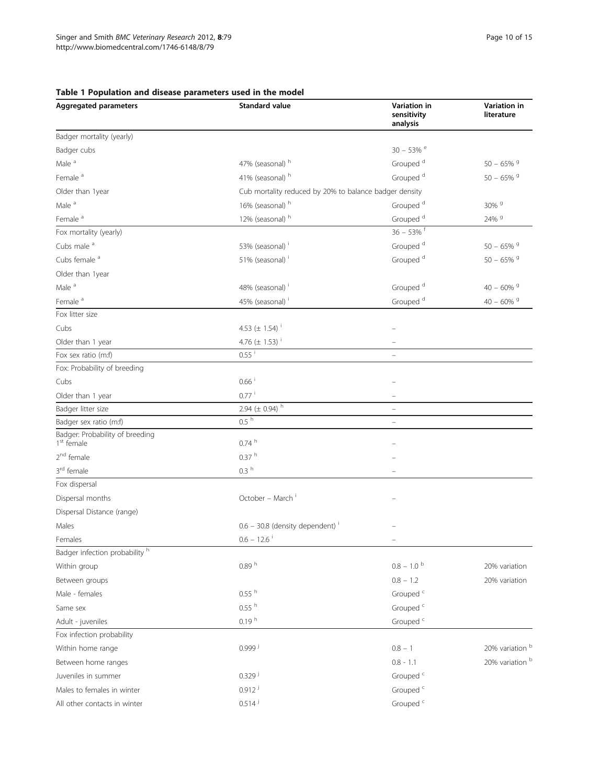## <span id="page-9-0"></span>Table 1 Population and disease parameters used in the model

| <b>Aggregated parameters</b>                              | <b>Standard value</b>                         | Variation in<br>sensitivity<br>analysis                | Variation in<br>literature |  |
|-----------------------------------------------------------|-----------------------------------------------|--------------------------------------------------------|----------------------------|--|
| Badger mortality (yearly)                                 |                                               |                                                        |                            |  |
| Badger cubs                                               |                                               | $30 - 53\%$ <sup>e</sup>                               |                            |  |
| Male <sup>a</sup>                                         | 47% (seasonal) h                              | Grouped <sup>d</sup>                                   | $50 - 65\%$ <sup>9</sup>   |  |
| Female <sup>a</sup>                                       | 41% (seasonal) h                              | Grouped <sup>d</sup>                                   | $50 - 65\%$ <sup>9</sup>   |  |
| Older than 1year                                          |                                               | Cub mortality reduced by 20% to balance badger density |                            |  |
| Male <sup>a</sup>                                         | 16% (seasonal) h                              | Grouped <sup>d</sup>                                   | 30% <sup>9</sup>           |  |
| Female <sup>a</sup>                                       | 12% (seasonal) h                              | Grouped <sup>d</sup>                                   | 24% <sup>9</sup>           |  |
| Fox mortality (yearly)                                    |                                               | $36 - 53\%$ <sup>f</sup>                               |                            |  |
| Cubs male <sup>a</sup>                                    | 53% (seasonal) i                              | Grouped <sup>d</sup>                                   | $50 - 65\%$ <sup>9</sup>   |  |
| Cubs female <sup>a</sup>                                  | 51% (seasonal) i                              | Grouped <sup>d</sup>                                   | $50 - 65\%$ <sup>9</sup>   |  |
| Older than 1year                                          |                                               |                                                        |                            |  |
| Male <sup>a</sup>                                         | 48% (seasonal) i                              | Grouped <sup>d</sup>                                   | $40 - 60\%$ <sup>9</sup>   |  |
| Female <sup>a</sup>                                       | 45% (seasonal) i                              | Grouped <sup>d</sup>                                   | $40 - 60\%$ <sup>9</sup>   |  |
| Fox litter size                                           |                                               |                                                        |                            |  |
| Cubs                                                      | 4.53 ( $\pm$ 1.54) <sup>i</sup>               |                                                        |                            |  |
| Older than 1 year                                         | 4.76 ( $\pm$ 1.53) <sup>i</sup>               |                                                        |                            |  |
| Fox sex ratio (m:f)                                       | $0.55$ <sup>i</sup>                           |                                                        |                            |  |
| Fox: Probability of breeding                              |                                               |                                                        |                            |  |
| Cubs                                                      | $0.66$ <sup>i</sup>                           |                                                        |                            |  |
| Older than 1 year                                         | $0.77$ <sup>i</sup>                           |                                                        |                            |  |
| Badger litter size                                        | 2.94 ( $\pm$ 0.94) <sup>h</sup>               | $\equiv$                                               |                            |  |
| Badger sex ratio (m:f)                                    | 0.5 <sup>h</sup>                              |                                                        |                            |  |
| Badger: Probability of breeding<br>1 <sup>st</sup> female | 0.74h                                         |                                                        |                            |  |
| $2nd$ female                                              | 0.37h                                         |                                                        |                            |  |
| 3 <sup>rd</sup> female                                    | 0.3h                                          |                                                        |                            |  |
| Fox dispersal                                             |                                               |                                                        |                            |  |
| Dispersal months                                          | October - March <sup>i</sup>                  |                                                        |                            |  |
| Dispersal Distance (range)                                |                                               |                                                        |                            |  |
| Males                                                     | $0.6 - 30.8$ (density dependent) <sup>i</sup> |                                                        |                            |  |
| Females                                                   | $06 - 126$ <sup>i</sup>                       |                                                        |                            |  |
| Badger infection probability h                            |                                               |                                                        |                            |  |
| Within group                                              | 0.89hh                                        | $0.8 - 1.0$ b                                          | 20% variation              |  |
| Between groups                                            |                                               | $0.8 - 1.2$                                            | 20% variation              |  |
| Male - females                                            | 0.55h                                         | Grouped <sup>c</sup>                                   |                            |  |
| Same sex                                                  | 0.55hh                                        | Grouped <sup>c</sup>                                   |                            |  |
| Adult - juveniles                                         | 0.19hh                                        | Grouped <sup>c</sup>                                   |                            |  |
| Fox infection probability                                 |                                               |                                                        |                            |  |
| Within home range                                         | 0.999 <sup>j</sup>                            | $0.8 - 1$                                              | 20% variation b            |  |
| Between home ranges                                       |                                               | $0.8 - 1.1$                                            | 20% variation b            |  |
| Juveniles in summer                                       | $0.329$ <sup>j</sup>                          | Grouped <sup>c</sup>                                   |                            |  |
| Males to females in winter                                | $0.912^{j}$                                   | Grouped <sup>c</sup>                                   |                            |  |
| All other contacts in winter                              | $0.514^{j}$                                   | Grouped <sup>c</sup>                                   |                            |  |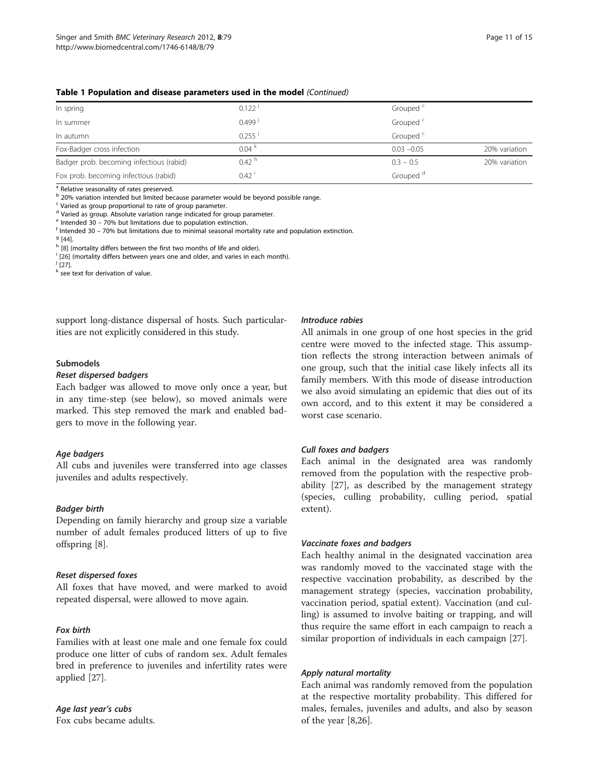## Table 1 Population and disease parameters used in the model (Continued)

| In spring                                | 0.122              | Grouped <sup>c</sup> |               |
|------------------------------------------|--------------------|----------------------|---------------|
| In summer                                | 0.499 <sup>j</sup> | Grouped <sup>c</sup> |               |
| In autumn                                | $0.255 -$          | Grouped <sup>c</sup> |               |
| Fox-Badger cross infection               | 0.04               | $0.03 - 0.05$        | 20% variation |
| Badger prob. becoming infectious (rabid) | 0.42 <sup>h</sup>  | $0.3 - 0.5$          | 20% variation |
| Fox prob. becoming infectious (rabid)    | 0.42               | Grouped <sup>d</sup> |               |

<sup>a</sup> Relative seasonality of rates preserved.

<sup>b</sup> 20% variation intended but limited because parameter would be beyond possible range.

<sup>c</sup> Varied as group proportional to rate of group parameter.

 $d$  Varied as group. Absolute variation range indicated for group parameter.<br>  $e$  Intended 30 – 70% but limitations due to population extinction.

f Intended 30 – 70% but limitations due to minimal seasonal mortality rate and population extinction.<br><sup>9</sup> [[44\]](#page-13-0).<br><sup>h</sup> [[8](#page-13-0)] (mortality differs between the first two months of life and older).

 $\frac{1}{2}$  [[26](#page-13-0)] (mortality differs between years one and older, and varies in each month). j [27].

 $k$  see text for derivation of value.

support long-distance dispersal of hosts. Such particularities are not explicitly considered in this study.

## Submodels

#### Reset dispersed badgers

Each badger was allowed to move only once a year, but in any time-step (see below), so moved animals were marked. This step removed the mark and enabled badgers to move in the following year.

## Age badgers

All cubs and juveniles were transferred into age classes juveniles and adults respectively.

## Badger birth

Depending on family hierarchy and group size a variable number of adult females produced litters of up to five offspring [[8\]](#page-13-0).

## Reset dispersed foxes

All foxes that have moved, and were marked to avoid repeated dispersal, were allowed to move again.

## Fox birth

Families with at least one male and one female fox could produce one litter of cubs of random sex. Adult females bred in preference to juveniles and infertility rates were applied [\[27](#page-13-0)].

## Age last year's cubs

Fox cubs became adults.

## Introduce rabies

All animals in one group of one host species in the grid centre were moved to the infected stage. This assumption reflects the strong interaction between animals of one group, such that the initial case likely infects all its family members. With this mode of disease introduction we also avoid simulating an epidemic that dies out of its own accord, and to this extent it may be considered a worst case scenario.

## Cull foxes and badgers

Each animal in the designated area was randomly removed from the population with the respective probability [[27\]](#page-13-0), as described by the management strategy (species, culling probability, culling period, spatial extent).

## Vaccinate foxes and badgers

Each healthy animal in the designated vaccination area was randomly moved to the vaccinated stage with the respective vaccination probability, as described by the management strategy (species, vaccination probability, vaccination period, spatial extent). Vaccination (and culling) is assumed to involve baiting or trapping, and will thus require the same effort in each campaign to reach a similar proportion of individuals in each campaign [\[27](#page-13-0)].

## Apply natural mortality

Each animal was randomly removed from the population at the respective mortality probability. This differed for males, females, juveniles and adults, and also by season of the year [\[8](#page-13-0),[26](#page-13-0)].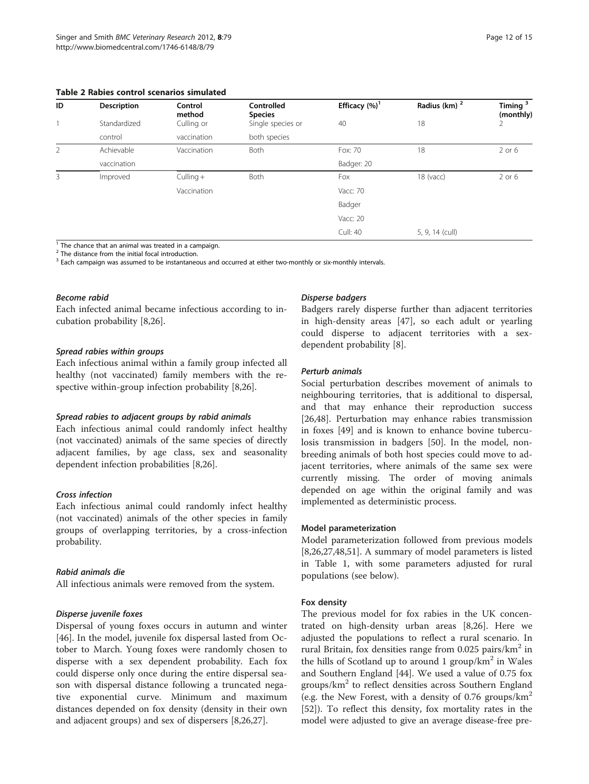<span id="page-11-0"></span>Table 2 Rabies control scenarios simulated

| ID | <b>Description</b> | Control<br>method | Controlled<br><b>Species</b> | Efficacy $(\%)^1$ | Radius (km) <sup>2</sup> | Timing <sup>3</sup><br>(monthly) |
|----|--------------------|-------------------|------------------------------|-------------------|--------------------------|----------------------------------|
|    | Standardized       | Culling or        | Single species or            | 40                | 18                       | 2                                |
|    | control            | vaccination       | both species                 |                   |                          |                                  |
| 2  | Achievable         | Vaccination       | Both                         | Fox: 70           | 18                       | $2$ or $6$                       |
|    | vaccination        |                   |                              | Badger: 20        |                          |                                  |
| 3  | Improved           | $Culling +$       | Both                         | Fox               | 18 (vacc)                | $2$ or $6$                       |
|    |                    | Vaccination       |                              | Vacc: 70          |                          |                                  |
|    |                    |                   |                              | Badger            |                          |                                  |
|    |                    |                   |                              | <b>Vacc: 20</b>   |                          |                                  |
|    |                    |                   |                              | Cull: 40          | 5, 9, 14 (cull)          |                                  |

 $\frac{1}{1}$  The chance that an animal was treated in a campaign.

<sup>2</sup> The distance from the initial focal introduction.

<sup>3</sup> Each campaign was assumed to be instantaneous and occurred at either two-monthly or six-monthly intervals.

## Become rabid

Each infected animal became infectious according to incubation probability [\[8,26\]](#page-13-0).

## Spread rabies within groups

Each infectious animal within a family group infected all healthy (not vaccinated) family members with the respective within-group infection probability [\[8](#page-13-0),[26](#page-13-0)].

## Spread rabies to adjacent groups by rabid animals

Each infectious animal could randomly infect healthy (not vaccinated) animals of the same species of directly adjacent families, by age class, sex and seasonality dependent infection probabilities [[8,26\]](#page-13-0).

## Cross infection

Each infectious animal could randomly infect healthy (not vaccinated) animals of the other species in family groups of overlapping territories, by a cross-infection probability.

## Rabid animals die

All infectious animals were removed from the system.

## Disperse juvenile foxes

Dispersal of young foxes occurs in autumn and winter [[46\]](#page-13-0). In the model, juvenile fox dispersal lasted from October to March. Young foxes were randomly chosen to disperse with a sex dependent probability. Each fox could disperse only once during the entire dispersal season with dispersal distance following a truncated negative exponential curve. Minimum and maximum distances depended on fox density (density in their own and adjacent groups) and sex of dispersers [[8,26,27\]](#page-13-0).

## Disperse badgers

Badgers rarely disperse further than adjacent territories in high-density areas [[47\]](#page-13-0), so each adult or yearling could disperse to adjacent territories with a sexdependent probability [\[8](#page-13-0)].

## Perturb animals

Social perturbation describes movement of animals to neighbouring territories, that is additional to dispersal, and that may enhance their reproduction success [[26,](#page-13-0)[48\]](#page-14-0). Perturbation may enhance rabies transmission in foxes [[49\]](#page-14-0) and is known to enhance bovine tuberculosis transmission in badgers [[50\]](#page-14-0). In the model, nonbreeding animals of both host species could move to adjacent territories, where animals of the same sex were currently missing. The order of moving animals depended on age within the original family and was implemented as deterministic process.

## Model parameterization

Model parameterization followed from previous models [[8,26,27,](#page-13-0)[48,51\]](#page-14-0). A summary of model parameters is listed in Table [1](#page-9-0), with some parameters adjusted for rural populations (see below).

## Fox density

The previous model for fox rabies in the UK concentrated on high-density urban areas [[8](#page-13-0),[26](#page-13-0)]. Here we adjusted the populations to reflect a rural scenario. In rural Britain, fox densities range from  $0.025$  pairs/km<sup>2</sup> in the hills of Scotland up to around 1 group/ $km^2$  in Wales and Southern England [[44\]](#page-13-0). We used a value of 0.75 fox groups/ $km<sup>2</sup>$  to reflect densities across Southern England (e.g. the New Forest, with a density of 0.76 groups/ $km^2$ [[52\]](#page-14-0)). To reflect this density, fox mortality rates in the model were adjusted to give an average disease-free pre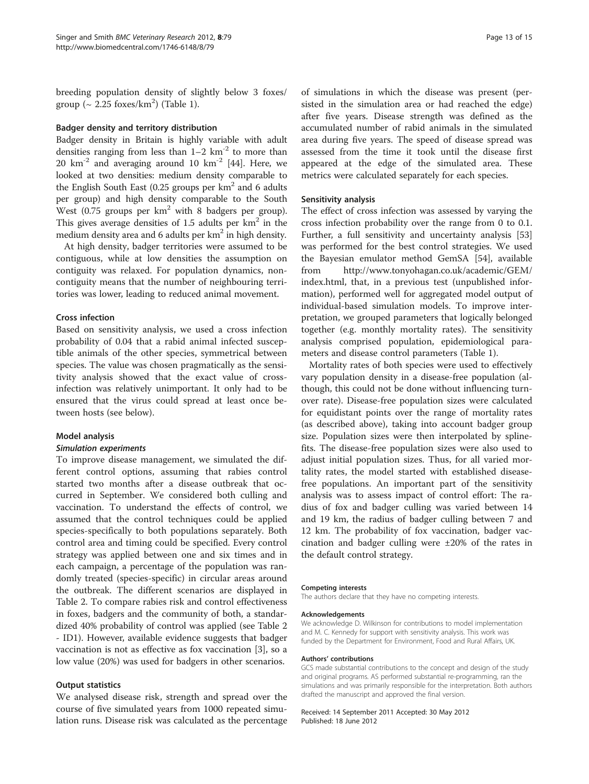breeding population density of slightly below 3 foxes/ group ( $\sim 2.25$  foxes/km<sup>2</sup>) (Table [1](#page-9-0)).

## Badger density and territory distribution

Badger density in Britain is highly variable with adult densities ranging from less than  $1-2$  km<sup>-2</sup> to more than  $20 \text{ km}^{-2}$  and averaging around  $10 \text{ km}^{-2}$  [\[44\]](#page-13-0). Here, we looked at two densities: medium density comparable to the English South East (0.25 groups per  $km<sup>2</sup>$  and 6 adults per group) and high density comparable to the South West (0.75 groups per  $km^2$  with 8 badgers per group). This gives average densities of 1.5 adults per  $km<sup>2</sup>$  in the medium density area and 6 adults per  $km^2$  in high density.

At high density, badger territories were assumed to be contiguous, while at low densities the assumption on contiguity was relaxed. For population dynamics, noncontiguity means that the number of neighbouring territories was lower, leading to reduced animal movement.

## Cross infection

Based on sensitivity analysis, we used a cross infection probability of 0.04 that a rabid animal infected susceptible animals of the other species, symmetrical between species. The value was chosen pragmatically as the sensitivity analysis showed that the exact value of crossinfection was relatively unimportant. It only had to be ensured that the virus could spread at least once between hosts (see below).

#### Model analysis

#### Simulation experiments

To improve disease management, we simulated the different control options, assuming that rabies control started two months after a disease outbreak that occurred in September. We considered both culling and vaccination. To understand the effects of control, we assumed that the control techniques could be applied species-specifically to both populations separately. Both control area and timing could be specified. Every control strategy was applied between one and six times and in each campaign, a percentage of the population was randomly treated (species-specific) in circular areas around the outbreak. The different scenarios are displayed in Table [2.](#page-11-0) To compare rabies risk and control effectiveness in foxes, badgers and the community of both, a standardized 40% probability of control was applied (see Table [2](#page-11-0) - ID1). However, available evidence suggests that badger vaccination is not as effective as fox vaccination [[3\]](#page-13-0), so a low value (20%) was used for badgers in other scenarios.

## Output statistics

We analysed disease risk, strength and spread over the course of five simulated years from 1000 repeated simulation runs. Disease risk was calculated as the percentage

of simulations in which the disease was present (persisted in the simulation area or had reached the edge) after five years. Disease strength was defined as the accumulated number of rabid animals in the simulated area during five years. The speed of disease spread was assessed from the time it took until the disease first appeared at the edge of the simulated area. These metrics were calculated separately for each species.

## Sensitivity analysis

The effect of cross infection was assessed by varying the cross infection probability over the range from 0 to 0.1. Further, a full sensitivity and uncertainty analysis [[53](#page-14-0)] was performed for the best control strategies. We used the Bayesian emulator method GemSA [\[54](#page-14-0)], available from [http://www.tonyohagan.co.uk/academic/GEM/](http://www.tonyohagan.co.uk/academic/GEM/index.html) [index.html](http://www.tonyohagan.co.uk/academic/GEM/index.html), that, in a previous test (unpublished information), performed well for aggregated model output of individual-based simulation models. To improve interpretation, we grouped parameters that logically belonged together (e.g. monthly mortality rates). The sensitivity analysis comprised population, epidemiological parameters and disease control parameters (Table [1\)](#page-9-0).

Mortality rates of both species were used to effectively vary population density in a disease-free population (although, this could not be done without influencing turnover rate). Disease-free population sizes were calculated for equidistant points over the range of mortality rates (as described above), taking into account badger group size. Population sizes were then interpolated by splinefits. The disease-free population sizes were also used to adjust initial population sizes. Thus, for all varied mortality rates, the model started with established diseasefree populations. An important part of the sensitivity analysis was to assess impact of control effort: The radius of fox and badger culling was varied between 14 and 19 km, the radius of badger culling between 7 and 12 km. The probability of fox vaccination, badger vaccination and badger culling were ±20% of the rates in the default control strategy.

#### Competing interests

The authors declare that they have no competing interests.

#### Acknowledgements

We acknowledge D. Wilkinson for contributions to model implementation and M. C. Kennedy for support with sensitivity analysis. This work was funded by the Department for Environment, Food and Rural Affairs, UK.

#### Authors' contributions

GCS made substantial contributions to the concept and design of the study and original programs. AS performed substantial re-programming, ran the simulations and was primarily responsible for the interpretation. Both authors drafted the manuscript and approved the final version.

Received: 14 September 2011 Accepted: 30 May 2012 Published: 18 June 2012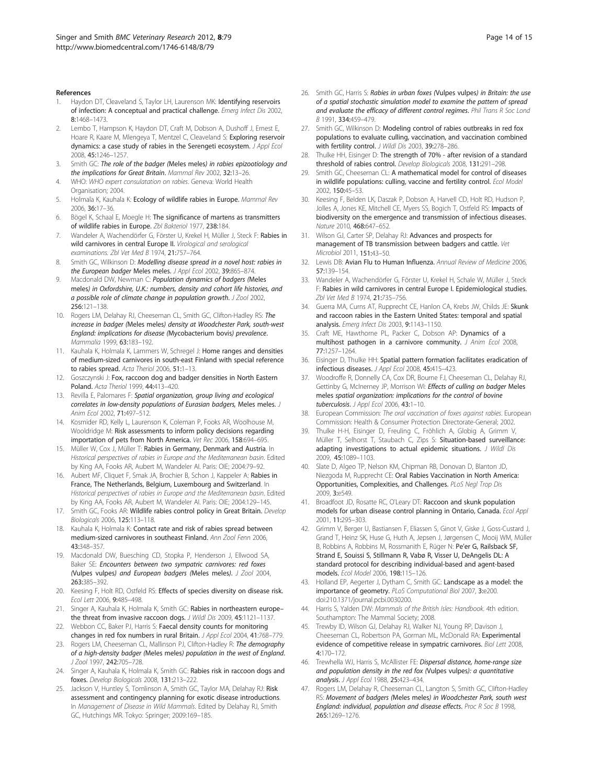#### <span id="page-13-0"></span>References

- Haydon DT, Cleaveland S, Taylor LH, Laurenson MK: Identifying reservoirs of infection: A conceptual and practical challenge. Emerg Infect Dis 2002, 8:1468–1473.
- 2. Lembo T, Hampson K, Haydon DT, Craft M, Dobson A, Dushoff J, Ernest E, Hoare R, Kaare M, Mlengeya T, Mentzel C, Cleaveland S: Exploring reservoir dynamics: a case study of rabies in the Serengeti ecosystem. J Appl Ecol 2008, 45:1246–1257.
- 3. Smith GC: The role of the badger (Meles meles) in rabies epizootiology and the implications for Great Britain. Mammal Rev 2002, 32:13–26.
- 4. WHO: WHO expert consulatation on rabies. Geneva: World Health Organisation; 2004.
- 5. Holmala K, Kauhala K: Ecology of wildlife rabies in Europe. Mammal Rev 2006, 36:17–36.
- 6. Bögel K, Schaal E, Moegle H: The significance of martens as transmitters of wildlife rabies in Europe. Zbl Bakteriol 1977, 238:184.
- Wandeler A, Wachendörfer G, Förster U, Krekel H, Müller J, Steck F: Rabies in wild carnivores in central Europe II. Virological and serological examinations. Zbl Vet Med B 1974, 21:757–764.
- 8. Smith GC, Wilkinson D: Modelling disease spread in a novel host: rabies in the European badger Meles meles. J Appl Ecol 2002, 39:865-874.
- Macdonald DW, Newman C: Population dynamics of badgers (Meles meles) in Oxfordshire, U.K.: numbers, density and cohort life histories, and a possible role of climate change in population growth. J Zool 2002, 256:121–138.
- 10. Rogers LM, Delahay RJ, Cheeseman CL, Smith GC, Clifton-Hadley RS: The increase in badger (Meles meles) density at Woodchester Park, south-west England: implications for disease (Mycobacterium bovis) prevalence. Mammalia 1999, 63:183–192.
- 11. Kauhala K, Holmala K, Lammers W, Schregel J: Home ranges and densities of medium-sized carnivores in south-east Finland with special reference to rabies spread. Acta Theriol 2006, 51:1–13.
- 12. Goszczynski J: Fox, raccoon dog and badger densities in North Eastern Poland. Acta Theriol 1999, 44:413–420.
- 13. Revilla E, Palomares F: Spatial organization, group living and ecological correlates in low-density populations of Eurasian badgers, Meles meles. J Anim Ecol 2002, 71:497–512.
- 14. Kosmider RD, Kelly L, Laurenson K, Coleman P, Fooks AR, Woolhouse M, Wooldridge M: Risk assessments to inform policy decisions regarding importation of pets from North America. Vet Rec 2006, 158:694–695.
- 15. Müller W, Cox J, Müller T: Rabies in Germany, Denmark and Austria. In Historical perspectives of rabies in Europe and the Mediterranean basin. Edited by King AA, Fooks AR, Aubert M, Wandeler AI. Paris: OIE; 2004:79–92.
- 16. Aubert MF, Cliquet F, Smak JA, Brochier B, Schon J, Kappeler A: Rabies in France, The Netherlands, Belgium, Luxembourg and Switzerland. In Historical perspectives of rabies in Europe and the Mediterranean basin. Edited by King AA, Fooks AR, Aubert M, Wandeler AI. Paris: OIE; 2004:129–145.
- 17. Smith GC, Fooks AR: Wildlife rabies control policy in Great Britain. Develop Biologicals 2006, 125:113–118.
- 18. Kauhala K, Holmala K: Contact rate and risk of rabies spread between medium-sized carnivores in southeast Finland. Ann Zool Fenn 2006, 43:348–357.
- 19. Macdonald DW, Buesching CD, Stopka P, Henderson J, Ellwood SA, Baker SE: Encounters between two sympatric carnivores: red foxes (Vulpes vulpes) and European badgers (Meles meles). J Zool 2004, 263:385–392.
- 20. Keesing F, Holt RD, Ostfeld RS: Effects of species diversity on disease risk. Ecol Lett 2006, 9:485–498.
- 21. Singer A, Kauhala K, Holmala K, Smith GC: Rabies in northeastern europethe threat from invasive raccoon dogs. J Wildl Dis 2009, 45:1121–1137.
- 22. Webbon CC, Baker PJ, Harris S: Faecal density counts for monitoring changes in red fox numbers in rural Britain. J Appl Ecol 2004, 41:768–779.
- 23. Rogers LM, Cheeseman CL, Mallinson PJ, Clifton-Hadley R: The demography of a high-density badger (Meles meles) population in the west of England. J Zool 1997, 242:705–728.
- 24. Singer A, Kauhala K, Holmala K, Smith GC: Rabies risk in raccoon dogs and foxes. Develop Biologicals 2008, 131:213–222.
- 25. Jackson V, Huntley S, Tomlinson A, Smith GC, Taylor MA, Delahay RJ: Risk assessment and contingency planning for exotic disease introductions. In Management of Disease in Wild Mammals. Edited by Delahay RJ, Smith GC, Hutchings MR. Tokyo: Springer; 2009:169–185.
- 26. Smith GC, Harris S: Rabies in urban foxes (Vulpes vulpes) in Britain: the use of a spatial stochastic simulation model to examine the pattern of spread and evaluate the efficacy of different control regimes. Phil Trans R Soc Lond B 1991, 334:459-479.
- 27. Smith GC, Wilkinson D: Modeling control of rabies outbreaks in red fox populations to evaluate culling, vaccination, and vaccination combined with fertility control. J Wildl Dis 2003, 39:278–286.
- 28. Thulke HH, Eisinger D: The strength of 70% after revision of a standard threshold of rabies control. Develop Biologicals 2008, 131:291–298.
- 29. Smith GC, Cheeseman CL: A mathematical model for control of diseases in wildlife populations: culling, vaccine and fertility control. Ecol Model 2002, 150:45–53.
- 30. Keesing F, Belden LK, Daszak P, Dobson A, Harvell CD, Holt RD, Hudson P, Jolles A, Jones KE, Mitchell CE, Myers SS, Bogich T, Ostfeld RS: Impacts of biodiversity on the emergence and transmission of infectious diseases. Nature 2010, 468:647–652.
- 31. Wilson GJ, Carter SP, Delahay RJ: Advances and prospects for management of TB transmission between badgers and cattle. Vet Microbiol 2011, 151:43–50.
- 32. Lewis DB: Avian Flu to Human Influenza. Annual Review of Medicine 2006, 57:139–154.
- 33. Wandeler A, Wachendörfer G, Förster U, Krekel H, Schale W, Müller J, Steck F: Rabies in wild carnivores in central Europe I. Epidemiological studies. Zbl Vet Med B 1974, 21:735-756.
- 34. Guerra MA, Curns AT, Rupprecht CE, Hanlon CA, Krebs JW, Childs JE: Skunk and raccoon rabies in the Eastern United States: temporal and spatial analysis. Emerg Infect Dis 2003, 9:1143–1150.
- 35. Craft ME, Hawthorne PL, Packer C, Dobson AP: Dynamics of a multihost pathogen in a carnivore community. J Anim Ecol 2008, 77:1257–1264.
- 36. Eisinger D, Thulke HH: Spatial pattern formation facilitates eradication of infectious diseases. J Appl Ecol 2008, 45:415–423.
- 37. Woodroffe R, Donnelly CA, Cox DR, Bourne FJ, Cheeseman CL, Delahay RJ, Gettinby G, McInerney JP, Morrison WI: Effects of culling on badger Meles meles spatial organization: implications for the control of bovine tuberculosis. J Appl Ecol 2006, 43:1–10.
- European Commission: The oral vaccination of foxes against rabies. European Commission: Health & Consumer Protection Directorate-General; 2002.
- 39. Thulke H-H, Eisinger D, Freuling C, Fröhlich A, Globig A, Grimm V, Müller T, Selhorst T, Staubach C, Zips S: Situation-based surveillance: adapting investigations to actual epidemic situations. J Wildl Dis 2009, 45:1089–1103.
- 40. Slate D, Algeo TP, Nelson KM, Chipman RB, Donovan D, Blanton JD, Niezgoda M, Rupprecht CE: Oral Rabies Vaccination in North America: Opportunities, Complexities, and Challenges. PLoS Negl Trop Dis 2009, 3:e549.
- 41. Broadfoot JD, Rosatte RC, O'Leary DT: Raccoon and skunk population models for urban disease control planning in Ontario, Canada. Ecol Appl 2001, 11:295–303.
- 42. Grimm V, Berger U, Bastiansen F, Eliassen S, Ginot V, Giske J, Goss-Custard J, Grand T, Heinz SK, Huse G, Huth A, Jepsen J, Jørgensen C, Mooij WM, Müller B, Robbins A, Robbins M, Rossmanith E, Rüger N: Pe'er G, Railsback SF, Strand E, Souissi S, Stillmann R, Vabø R, Visser U, DeAngelis DL: A standard protocol for describing individual-based and agent-based models. Ecol Model 2006, 198:115–126.
- 43. Holland EP, Aegerter J, Dytham C, Smith GC: Landscape as a model: the importance of geometry. PLoS Computational Biol 2007, 3:e200. doi[:210.1371/journal.pcbi.0030200.](http://210.1371/journal.pcbi.0030200)
- 44. Harris S, Yalden DW: Mammals of the British Isles: Handbook. 4th edition. Southampton: The Mammal Society; 2008.
- 45. Trewby ID, Wilson GJ, Delahay RJ, Walker NJ, Young RP, Davison J, Cheeseman CL, Robertson PA, Gorman ML, McDonald RA: Experimental evidence of competitive release in sympatric carnivores. Biol Lett 2008, 4:170–172.
- 46. Trewhella WJ, Harris S, McAllister FE: Dispersal distance, home-range size and population density in the red fox (Vulpes vulpes): a quantitative analysis. J Appl Ecol 1988, 25:423–434.
- 47. Rogers LM, Delahay R, Cheeseman CL, Langton S, Smith GC, Clifton-Hadley RS: Movement of badgers (Meles meles) in Woodchester Park, south west England: individual, population and disease effects. Proc R Soc B 1998, 265:1269–1276.